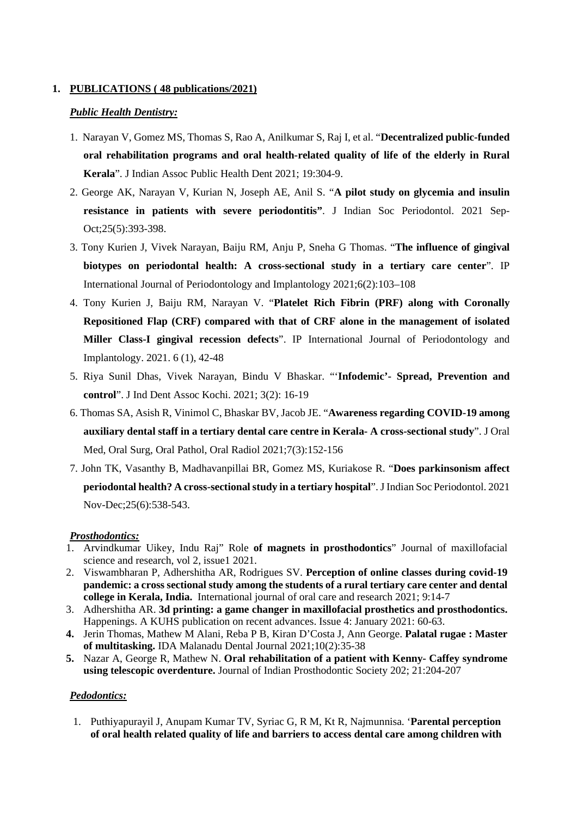### **1. PUBLICATIONS ( 48 publications/2021)**

#### *Public Health Dentistry:*

- 1. Narayan V, Gomez MS, Thomas S, Rao A, Anilkumar S, Raj I, et al. "**Decentralized public-funded oral rehabilitation programs and oral health-related quality of life of the elderly in Rural Kerala**". J Indian Assoc Public Health Dent 2021; 19:304-9.
- 2. George AK, Narayan V, Kurian N, Joseph AE, Anil S. "**A pilot study on glycemia and insulin resistance in patients with severe periodontitis"**. J Indian Soc Periodontol. 2021 Sep-Oct;25(5):393-398.
- 3. Tony Kurien J, Vivek Narayan, Baiju RM, Anju P, Sneha G Thomas. "**The influence of gingival biotypes on periodontal health: A cross-sectional study in a tertiary care center**". IP International Journal of Periodontology and Implantology 2021;6(2):103–108
- 4. Tony Kurien J, Baiju RM, Narayan V. "**Platelet Rich Fibrin (PRF) along with Coronally Repositioned Flap (CRF) compared with that of CRF alone in the management of isolated Miller Class-I gingival recession defects**". IP International Journal of Periodontology and Implantology. 2021. 6 (1), 42-48
- 5. Riya Sunil Dhas, Vivek Narayan, Bindu V Bhaskar. "'**Infodemic'- Spread, Prevention and control**". J Ind Dent Assoc Kochi. 2021; 3(2): 16-19
- 6. Thomas SA, Asish R, Vinimol C, Bhaskar BV, Jacob JE. "**Awareness regarding COVID-19 among auxiliary dental staff in a tertiary dental care centre in Kerala- A cross-sectional study**". J Oral Med, Oral Surg, Oral Pathol, Oral Radiol 2021;7(3):152-156
- 7. John TK, Vasanthy B, Madhavanpillai BR, Gomez MS, Kuriakose R. "**Does parkinsonism affect periodontal health? A cross-sectional study in a tertiary hospital**". J Indian Soc Periodontol. 2021 Nov-Dec;25(6):538-543.

# *Prosthodontics:*

- 1. Arvindkumar Uikey, Indu Raj" Role **of magnets in prosthodontics**" Journal of maxillofacial science and research, vol 2, issue1 2021.
- 2. Viswambharan P, Adhershitha AR, Rodrigues SV. **Perception of online classes during covid-19 pandemic: a cross sectional study among the students of a rural tertiary care center and dental college in Kerala, India.** International journal of oral care and research 2021; 9:14-7
- 3. Adhershitha AR. **3d printing: a game changer in maxillofacial prosthetics and prosthodontics.**  Happenings. A KUHS publication on recent advances. Issue 4: January 2021: 60-63.
- **4.** Jerin Thomas, Mathew M Alani, Reba P B, Kiran D'Costa J, Ann George. **Palatal rugae : Master of multitasking.** IDA Malanadu Dental Journal 2021;10(2):35-38
- **5.** Nazar A, George R, Mathew N. **Oral rehabilitation of a patient with Kenny- Caffey syndrome using telescopic overdenture.** Journal of Indian Prosthodontic Society 202; 21:204-207

#### *Pedodontics:*

1. Puthiyapurayil J, Anupam Kumar TV, Syriac G, R M, Kt R, Najmunnisa. '**Parental perception of oral health related quality of life and barriers to access dental care among children with**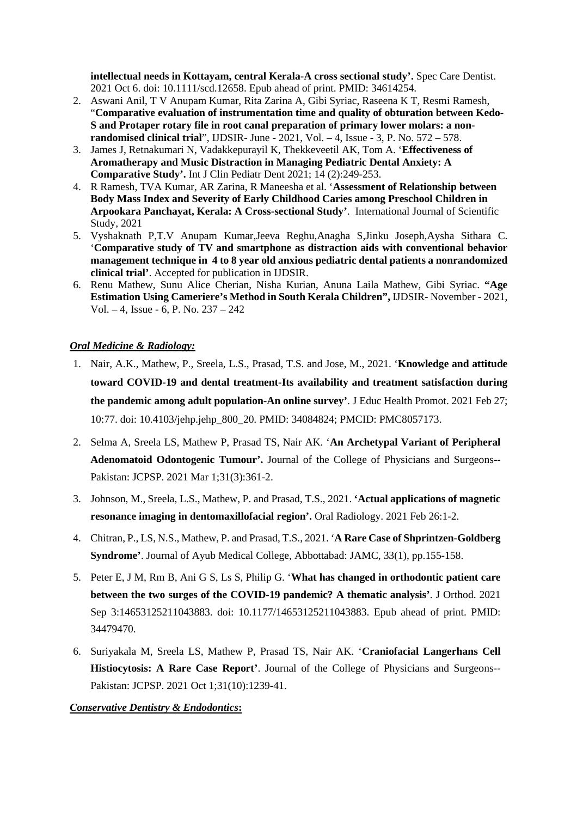**intellectual needs in Kottayam, central Kerala-A cross sectional study'.** Spec Care Dentist. 2021 Oct 6. doi: 10.1111/scd.12658. Epub ahead of print. PMID: 34614254.

- 2. Aswani Anil, T V Anupam Kumar, Rita Zarina A, Gibi Syriac, Raseena K T, Resmi Ramesh, "**Comparative evaluation of instrumentation time and quality of obturation between Kedo-S and Protaper rotary file in root canal preparation of primary lower molars: a nonrandomised clinical trial**", IJDSIR- June - 2021, Vol. – 4, Issue - 3, P. No. 572 – 578.
- 3. James J, Retnakumari N, Vadakkepurayil K, Thekkeveetil AK, Tom A. '**Effectiveness of Aromatherapy and Music Distraction in Managing Pediatric Dental Anxiety: A Comparative Study'.** Int J Clin Pediatr Dent 2021; 14 (2):249-253.
- 4. R Ramesh, TVA Kumar, AR Zarina, R Maneesha et al. '**Assessment of Relationship between Body Mass Index and Severity of Early Childhood Caries among Preschool Children in Arpookara Panchayat, Kerala: A Cross-sectional Study'**. International Journal of Scientific Study, 2021
- 5. Vyshaknath P,T.V Anupam Kumar,Jeeva Reghu,Anagha S,Jinku Joseph,Aysha Sithara C. '**Comparative study of TV and smartphone as distraction aids with conventional behavior management technique in 4 to 8 year old anxious pediatric dental patients a nonrandomized clinical trial'**. Accepted for publication in IJDSIR.
- 6. Renu Mathew, Sunu Alice Cherian, Nisha Kurian, Anuna Laila Mathew, Gibi Syriac. **"Age Estimation Using Cameriere's Method in South Kerala Children",** IJDSIR- November - 2021, Vol. – 4, Issue - 6, P. No. 237 – 242

# *Oral Medicine & Radiology:*

- 1. Nair, A.K., Mathew, P., Sreela, L.S., Prasad, T.S. and Jose, M., 2021. '**Knowledge and attitude toward COVID-19 and dental treatment-Its availability and treatment satisfaction during the pandemic among adult population-An online survey'**. J Educ Health Promot. 2021 Feb 27; 10:77. doi: 10.4103/jehp.jehp\_800\_20. PMID: 34084824; PMCID: PMC8057173.
- 2. Selma A, Sreela LS, Mathew P, Prasad TS, Nair AK. '**An Archetypal Variant of Peripheral Adenomatoid Odontogenic Tumour'.** Journal of the College of Physicians and Surgeons-- Pakistan: JCPSP. 2021 Mar 1;31(3):361-2.
- 3. Johnson, M., Sreela, L.S., Mathew, P. and Prasad, T.S., 2021. **'Actual applications of magnetic resonance imaging in dentomaxillofacial region'.** Oral Radiology. 2021 Feb 26:1-2.
- 4. Chitran, P., LS, N.S., Mathew, P. and Prasad, T.S., 2021. '**A Rare Case of Shprintzen-Goldberg Syndrome'**. Journal of Ayub Medical College, Abbottabad: JAMC, 33(1), pp.155-158.
- 5. Peter E, J M, Rm B, Ani G S, Ls S, Philip G. '**What has changed in orthodontic patient care between the two surges of the COVID-19 pandemic? A thematic analysis'**. J Orthod. 2021 Sep 3:14653125211043883. doi: 10.1177/14653125211043883. Epub ahead of print. PMID: 34479470.
- 6. Suriyakala M, Sreela LS, Mathew P, Prasad TS, Nair AK. '**Craniofacial Langerhans Cell Histiocytosis: A Rare Case Report'**. Journal of the College of Physicians and Surgeons-- Pakistan: JCPSP. 2021 Oct 1;31(10):1239-41.

#### *Conservative Dentistry & Endodontics***:**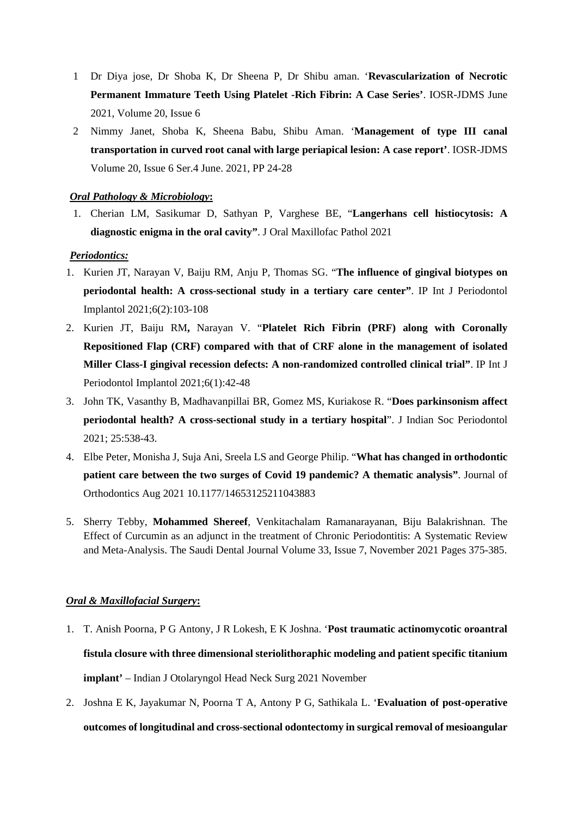- 1 Dr Diya jose, Dr Shoba K, Dr Sheena P, Dr Shibu aman. '**Revascularization of Necrotic Permanent Immature Teeth Using Platelet -Rich Fibrin: A Case Series'**. IOSR-JDMS June 2021, Volume 20, Issue 6
- 2 Nimmy Janet, Shoba K, Sheena Babu, Shibu Aman. '**Management of type III canal transportation in curved root canal with large periapical lesion: A case report'**. IOSR-JDMS Volume 20, Issue 6 Ser.4 June. 2021, PP 24-28

### *Oral Pathology & Microbiology***:**

1. Cherian LM, Sasikumar D, Sathyan P, Varghese BE, "**Langerhans cell histiocytosis: A diagnostic enigma in the oral cavity"**. J Oral Maxillofac Pathol 2021

#### *Periodontics:*

- 1. Kurien JT, Narayan V, Baiju RM, Anju P, Thomas SG. "**The influence of gingival biotypes on periodontal health: A cross-sectional study in a tertiary care center"**. IP Int J Periodontol Implantol 2021;6(2):103-108
- 2. Kurien JT, Baiju RM**,** Narayan V. "**Platelet Rich Fibrin (PRF) along with Coronally Repositioned Flap (CRF) compared with that of CRF alone in the management of isolated Miller Class-I gingival recession defects: A non-randomized controlled clinical trial"**. IP Int J Periodontol Implantol 2021;6(1):42-48
- 3. John TK, Vasanthy B, Madhavanpillai BR, Gomez MS, Kuriakose R. "**Does parkinsonism affect periodontal health? A cross-sectional study in a tertiary hospital**". J Indian Soc Periodontol 2021; 25:538-43.
- 4. Elbe Peter, Monisha J, Suja Ani, Sreela LS and George Philip. "**What has changed in orthodontic patient care between the two surges of Covid 19 pandemic? A thematic analysis"**. Journal of Orthodontics Aug 2021 10.1177/14653125211043883
- 5. Sherry Tebby, **Mohammed Shereef**, Venkitachalam Ramanarayanan, Biju Balakrishnan. The Effect of Curcumin as an adjunct in the treatment of Chronic Periodontitis: A Systematic Review and Meta-Analysis. The Saudi Dental Journal Volume 33, Issue 7, November 2021 Pages 375-385.

# *Oral & Maxillofacial Surgery***:**

- 1. T. Anish Poorna, P G Antony, J R Lokesh, E K Joshna. '**Post traumatic actinomycotic oroantral fistula closure with three dimensional steriolithoraphic modeling and patient specific titanium implant'** – Indian J Otolaryngol Head Neck Surg 2021 November
- 2. Joshna E K, Jayakumar N, Poorna T A, Antony P G, Sathikala L. '**Evaluation of post-operative outcomes of longitudinal and cross-sectional odontectomy in surgical removal of mesioangular**